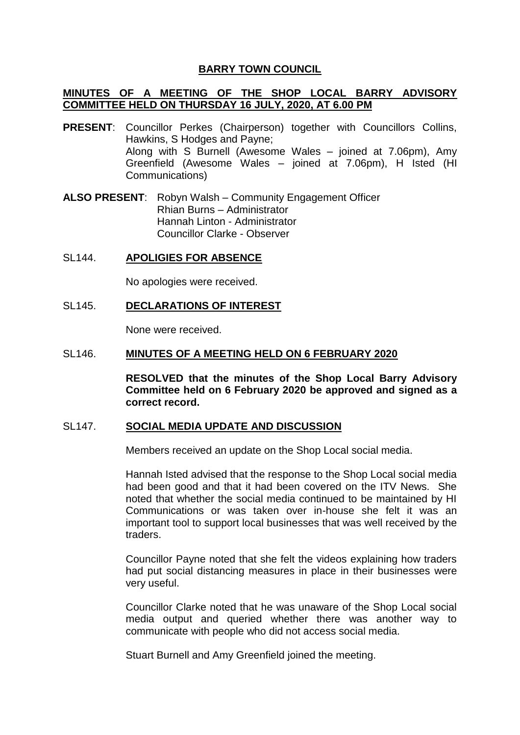# **BARRY TOWN COUNCIL**

# **MINUTES OF A MEETING OF THE SHOP LOCAL BARRY ADVISORY COMMITTEE HELD ON THURSDAY 16 JULY, 2020, AT 6.00 PM**

- **PRESENT**: Councillor Perkes (Chairperson) together with Councillors Collins, Hawkins, S Hodges and Payne; Along with S Burnell (Awesome Wales – joined at 7.06pm), Amy Greenfield (Awesome Wales – joined at 7.06pm), H Isted (HI Communications)
- **ALSO PRESENT**: Robyn Walsh Community Engagement Officer Rhian Burns – Administrator Hannah Linton - Administrator Councillor Clarke - Observer
- SL144. **APOLIGIES FOR ABSENCE**

No apologies were received.

SL145. **DECLARATIONS OF INTEREST**

None were received.

SL146. **MINUTES OF A MEETING HELD ON 6 FEBRUARY 2020**

**RESOLVED that the minutes of the Shop Local Barry Advisory Committee held on 6 February 2020 be approved and signed as a correct record.**

#### SL147. **SOCIAL MEDIA UPDATE AND DISCUSSION**

Members received an update on the Shop Local social media.

Hannah Isted advised that the response to the Shop Local social media had been good and that it had been covered on the ITV News. She noted that whether the social media continued to be maintained by HI Communications or was taken over in-house she felt it was an important tool to support local businesses that was well received by the traders.

Councillor Payne noted that she felt the videos explaining how traders had put social distancing measures in place in their businesses were very useful.

Councillor Clarke noted that he was unaware of the Shop Local social media output and queried whether there was another way to communicate with people who did not access social media.

Stuart Burnell and Amy Greenfield joined the meeting.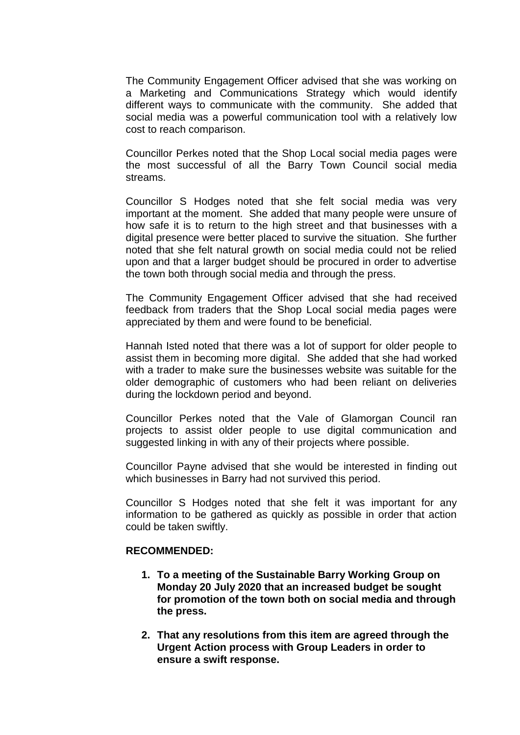The Community Engagement Officer advised that she was working on a Marketing and Communications Strategy which would identify different ways to communicate with the community. She added that social media was a powerful communication tool with a relatively low cost to reach comparison.

Councillor Perkes noted that the Shop Local social media pages were the most successful of all the Barry Town Council social media streams.

Councillor S Hodges noted that she felt social media was very important at the moment. She added that many people were unsure of how safe it is to return to the high street and that businesses with a digital presence were better placed to survive the situation. She further noted that she felt natural growth on social media could not be relied upon and that a larger budget should be procured in order to advertise the town both through social media and through the press.

The Community Engagement Officer advised that she had received feedback from traders that the Shop Local social media pages were appreciated by them and were found to be beneficial.

Hannah Isted noted that there was a lot of support for older people to assist them in becoming more digital. She added that she had worked with a trader to make sure the businesses website was suitable for the older demographic of customers who had been reliant on deliveries during the lockdown period and beyond.

Councillor Perkes noted that the Vale of Glamorgan Council ran projects to assist older people to use digital communication and suggested linking in with any of their projects where possible.

Councillor Payne advised that she would be interested in finding out which businesses in Barry had not survived this period.

Councillor S Hodges noted that she felt it was important for any information to be gathered as quickly as possible in order that action could be taken swiftly.

### **RECOMMENDED:**

- **1. To a meeting of the Sustainable Barry Working Group on Monday 20 July 2020 that an increased budget be sought for promotion of the town both on social media and through the press.**
- **2. That any resolutions from this item are agreed through the Urgent Action process with Group Leaders in order to ensure a swift response.**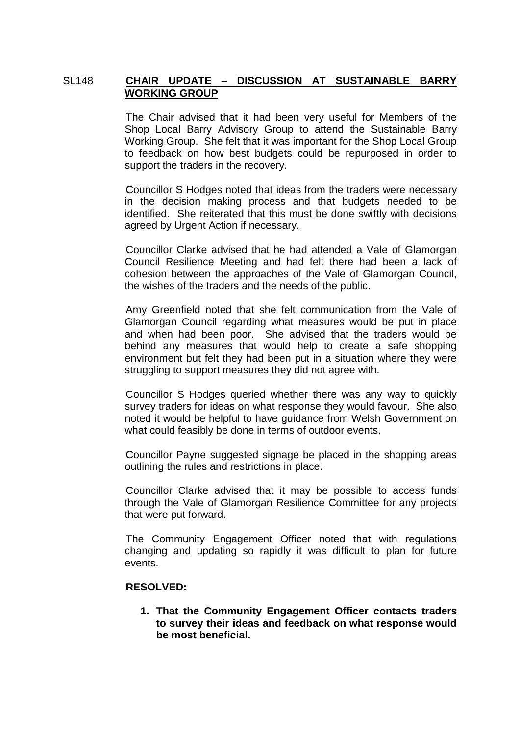### SL148 **CHAIR UPDATE – DISCUSSION AT SUSTAINABLE BARRY WORKING GROUP**

The Chair advised that it had been very useful for Members of the Shop Local Barry Advisory Group to attend the Sustainable Barry Working Group. She felt that it was important for the Shop Local Group to feedback on how best budgets could be repurposed in order to support the traders in the recovery.

Councillor S Hodges noted that ideas from the traders were necessary in the decision making process and that budgets needed to be identified. She reiterated that this must be done swiftly with decisions agreed by Urgent Action if necessary.

Councillor Clarke advised that he had attended a Vale of Glamorgan Council Resilience Meeting and had felt there had been a lack of cohesion between the approaches of the Vale of Glamorgan Council, the wishes of the traders and the needs of the public.

Amy Greenfield noted that she felt communication from the Vale of Glamorgan Council regarding what measures would be put in place and when had been poor. She advised that the traders would be behind any measures that would help to create a safe shopping environment but felt they had been put in a situation where they were struggling to support measures they did not agree with.

Councillor S Hodges queried whether there was any way to quickly survey traders for ideas on what response they would favour. She also noted it would be helpful to have guidance from Welsh Government on what could feasibly be done in terms of outdoor events.

Councillor Payne suggested signage be placed in the shopping areas outlining the rules and restrictions in place.

Councillor Clarke advised that it may be possible to access funds through the Vale of Glamorgan Resilience Committee for any projects that were put forward.

The Community Engagement Officer noted that with regulations changing and updating so rapidly it was difficult to plan for future events.

# **RESOLVED:**

**1. That the Community Engagement Officer contacts traders to survey their ideas and feedback on what response would be most beneficial.**